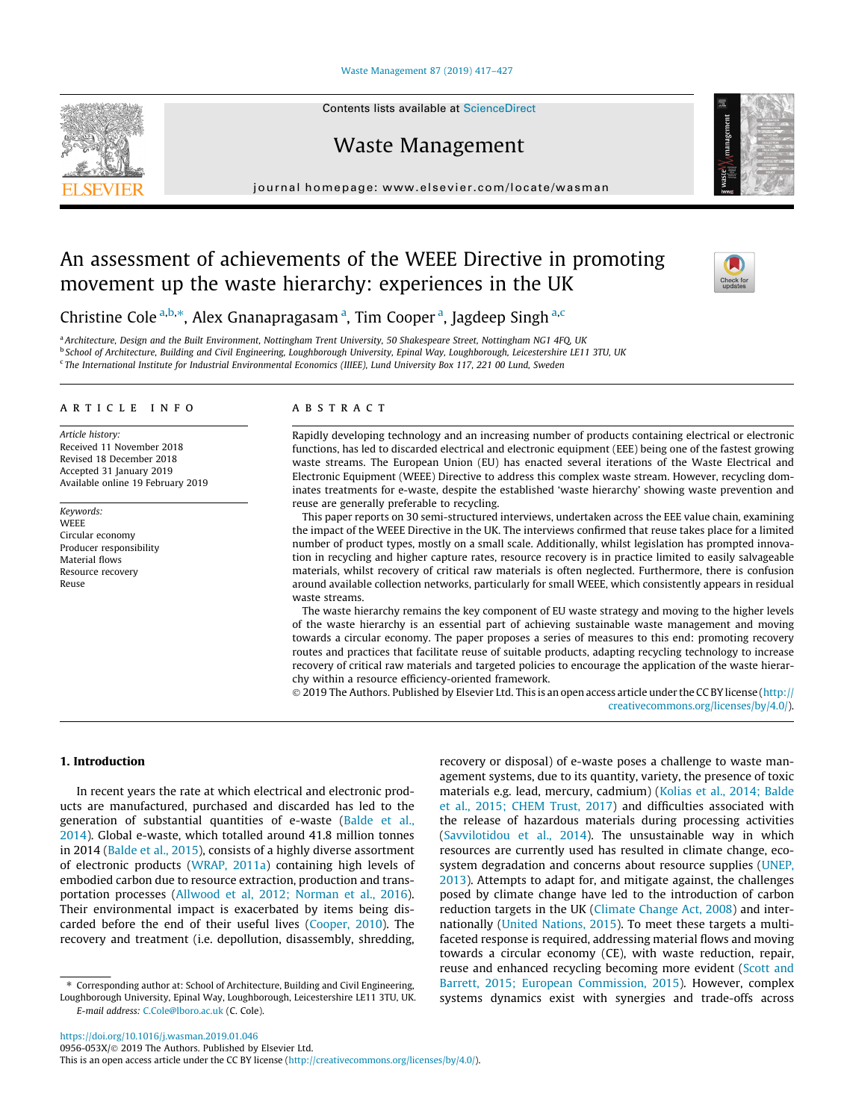#### [Waste Management 87 \(2019\) 417–427](https://doi.org/10.1016/j.wasman.2019.01.046)



# Waste Management

journal homepage: [www.elsevier.com/locate/wasman](http://www.elsevier.com/locate/wasman)

# An assessment of achievements of the WEEE Directive in promoting movement up the waste hierarchy: experiences in the UK



Christine Cole<sup>a,b,\*</sup>, Alex Gnanapragasam<sup>a</sup>, Tim Cooper<sup>a</sup>, Jagdeep Singh<sup>a,c</sup>

<sup>a</sup> Architecture, Design and the Built Environment, Nottingham Trent University, 50 Shakespeare Street, Nottingham NG1 4FQ, UK <sup>b</sup> School of Architecture, Building and Civil Engineering, Loughborough University, Epinal Way, Loughborough, Leicestershire LE11 3TU, UK <sup>c</sup> The International Institute for Industrial Environmental Economics (IIIEE), Lund University Box 117, 221 00 Lund, Sweden

## article info

Article history: Received 11 November 2018 Revised 18 December 2018 Accepted 31 January 2019 Available online 19 February 2019

Keywords: **WEEE** Circular economy Producer responsibility Material flows Resource recovery Reuse

## A B S T R A C T

Rapidly developing technology and an increasing number of products containing electrical or electronic functions, has led to discarded electrical and electronic equipment (EEE) being one of the fastest growing waste streams. The European Union (EU) has enacted several iterations of the Waste Electrical and Electronic Equipment (WEEE) Directive to address this complex waste stream. However, recycling dominates treatments for e-waste, despite the established 'waste hierarchy' showing waste prevention and reuse are generally preferable to recycling.

This paper reports on 30 semi-structured interviews, undertaken across the EEE value chain, examining the impact of the WEEE Directive in the UK. The interviews confirmed that reuse takes place for a limited number of product types, mostly on a small scale. Additionally, whilst legislation has prompted innovation in recycling and higher capture rates, resource recovery is in practice limited to easily salvageable materials, whilst recovery of critical raw materials is often neglected. Furthermore, there is confusion around available collection networks, particularly for small WEEE, which consistently appears in residual waste streams.

The waste hierarchy remains the key component of EU waste strategy and moving to the higher levels of the waste hierarchy is an essential part of achieving sustainable waste management and moving towards a circular economy. The paper proposes a series of measures to this end: promoting recovery routes and practices that facilitate reuse of suitable products, adapting recycling technology to increase recovery of critical raw materials and targeted policies to encourage the application of the waste hierarchy within a resource efficiency-oriented framework.

 2019 The Authors. Published by Elsevier Ltd. This is an open access article under the CC BY license ([http://](http://creativecommons.org/licenses/by/4.0/) [creativecommons.org/licenses/by/4.0/](http://creativecommons.org/licenses/by/4.0/)).

# 1. Introduction

In recent years the rate at which electrical and electronic products are manufactured, purchased and discarded has led to the generation of substantial quantities of e-waste ([Balde et al.,](#page-9-0) [2014\)](#page-9-0). Global e-waste, which totalled around 41.8 million tonnes in 2014 [\(Balde et al., 2015\)](#page-9-0), consists of a highly diverse assortment of electronic products ([WRAP, 2011a](#page-10-0)) containing high levels of embodied carbon due to resource extraction, production and transportation processes ([Allwood et al, 2012; Norman et al., 2016\)](#page-9-0). Their environmental impact is exacerbated by items being discarded before the end of their useful lives [\(Cooper, 2010\)](#page-9-0). The recovery and treatment (i.e. depollution, disassembly, shredding, recovery or disposal) of e-waste poses a challenge to waste management systems, due to its quantity, variety, the presence of toxic materials e.g. lead, mercury, cadmium) [\(Kolias et al., 2014; Balde](#page-10-0) [et al., 2015; CHEM Trust, 2017\)](#page-10-0) and difficulties associated with the release of hazardous materials during processing activities ([Savvilotidou et al., 2014\)](#page-10-0). The unsustainable way in which resources are currently used has resulted in climate change, ecosystem degradation and concerns about resource supplies ([UNEP,](#page-10-0) [2013](#page-10-0)). Attempts to adapt for, and mitigate against, the challenges posed by climate change have led to the introduction of carbon reduction targets in the UK [\(Climate Change Act, 2008\)](#page-9-0) and internationally ([United Nations, 2015\)](#page-10-0). To meet these targets a multifaceted response is required, addressing material flows and moving towards a circular economy (CE), with waste reduction, repair, reuse and enhanced recycling becoming more evident ([Scott and](#page-10-0) [Barrett, 2015; European Commission, 2015](#page-10-0)). However, complex systems dynamics exist with synergies and trade-offs across

<https://doi.org/10.1016/j.wasman.2019.01.046> 0956-053X/@ 2019 The Authors. Published by Elsevier Ltd.



<sup>⇑</sup> Corresponding author at: School of Architecture, Building and Civil Engineering, Loughborough University, Epinal Way, Loughborough, Leicestershire LE11 3TU, UK. E-mail address: [C.Cole@lboro.ac.uk](mailto:C.Cole@lboro.ac.uk) (C. Cole).

This is an open access article under the CC BY license [\(http://creativecommons.org/licenses/by/4.0/\)](http://creativecommons.org/licenses/by/4.0/).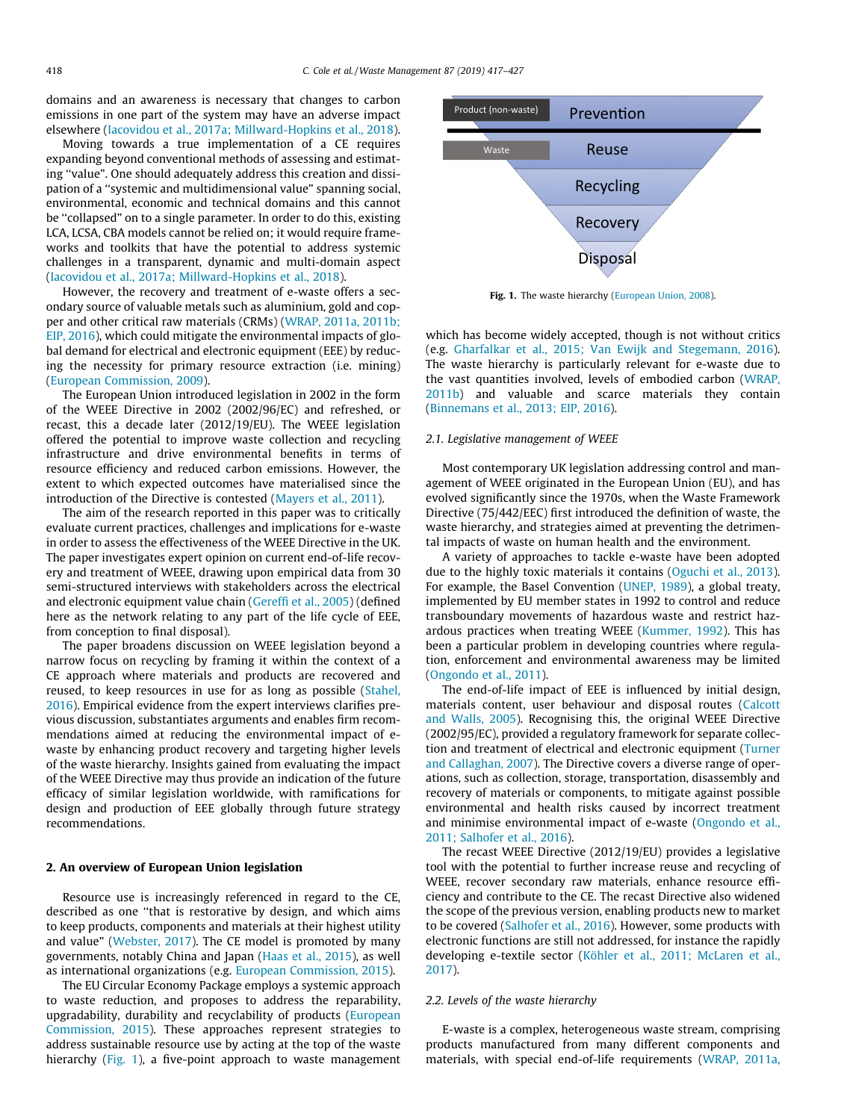domains and an awareness is necessary that changes to carbon emissions in one part of the system may have an adverse impact elsewhere [\(Iacovidou et al., 2017a; Millward-Hopkins et al., 2018\)](#page-9-0).

Moving towards a true implementation of a CE requires expanding beyond conventional methods of assessing and estimating ''value". One should adequately address this creation and dissipation of a ''systemic and multidimensional value" spanning social, environmental, economic and technical domains and this cannot be ''collapsed" on to a single parameter. In order to do this, existing LCA, LCSA, CBA models cannot be relied on; it would require frameworks and toolkits that have the potential to address systemic challenges in a transparent, dynamic and multi-domain aspect ([Iacovidou et al., 2017a; Millward-Hopkins et al., 2018\)](#page-9-0).

However, the recovery and treatment of e-waste offers a secondary source of valuable metals such as aluminium, gold and copper and other critical raw materials (CRMs) ([WRAP, 2011a, 2011b;](#page-10-0) [EIP, 2016](#page-10-0)), which could mitigate the environmental impacts of global demand for electrical and electronic equipment (EEE) by reducing the necessity for primary resource extraction (i.e. mining) ([European Commission, 2009\)](#page-9-0).

The European Union introduced legislation in 2002 in the form of the WEEE Directive in 2002 (2002/96/EC) and refreshed, or recast, this a decade later (2012/19/EU). The WEEE legislation offered the potential to improve waste collection and recycling infrastructure and drive environmental benefits in terms of resource efficiency and reduced carbon emissions. However, the extent to which expected outcomes have materialised since the introduction of the Directive is contested [\(Mayers et al., 2011\)](#page-10-0).

The aim of the research reported in this paper was to critically evaluate current practices, challenges and implications for e-waste in order to assess the effectiveness of the WEEE Directive in the UK. The paper investigates expert opinion on current end-of-life recovery and treatment of WEEE, drawing upon empirical data from 30 semi-structured interviews with stakeholders across the electrical and electronic equipment value chain [\(Gereffi et al., 2005](#page-9-0)) (defined here as the network relating to any part of the life cycle of EEE, from conception to final disposal).

The paper broadens discussion on WEEE legislation beyond a narrow focus on recycling by framing it within the context of a CE approach where materials and products are recovered and reused, to keep resources in use for as long as possible ([Stahel,](#page-10-0) [2016\)](#page-10-0). Empirical evidence from the expert interviews clarifies previous discussion, substantiates arguments and enables firm recommendations aimed at reducing the environmental impact of ewaste by enhancing product recovery and targeting higher levels of the waste hierarchy. Insights gained from evaluating the impact of the WEEE Directive may thus provide an indication of the future efficacy of similar legislation worldwide, with ramifications for design and production of EEE globally through future strategy recommendations.

## 2. An overview of European Union legislation

Resource use is increasingly referenced in regard to the CE, described as one ''that is restorative by design, and which aims to keep products, components and materials at their highest utility and value" [\(Webster, 2017\)](#page-10-0). The CE model is promoted by many governments, notably China and Japan ([Haas et al., 2015](#page-9-0)), as well as international organizations (e.g. [European Commission, 2015](#page-9-0)).

The EU Circular Economy Package employs a systemic approach to waste reduction, and proposes to address the reparability, upgradability, durability and recyclability of products [\(European](#page-9-0) [Commission, 2015\)](#page-9-0). These approaches represent strategies to address sustainable resource use by acting at the top of the waste hierarchy (Fig. 1), a five-point approach to waste management



Fig. 1. The waste hierarchy ([European Union, 2008](#page-9-0)).

which has become widely accepted, though is not without critics (e.g. [Gharfalkar et al., 2015; Van Ewijk and Stegemann, 2016\)](#page-9-0). The waste hierarchy is particularly relevant for e-waste due to the vast quantities involved, levels of embodied carbon [\(WRAP,](#page-10-0) [2011b](#page-10-0)) and valuable and scarce materials they contain ([Binnemans et al., 2013; EIP, 2016](#page-9-0)).

#### 2.1. Legislative management of WEEE

Most contemporary UK legislation addressing control and management of WEEE originated in the European Union (EU), and has evolved significantly since the 1970s, when the Waste Framework Directive (75/442/EEC) first introduced the definition of waste, the waste hierarchy, and strategies aimed at preventing the detrimental impacts of waste on human health and the environment.

A variety of approaches to tackle e-waste have been adopted due to the highly toxic materials it contains [\(Oguchi et al., 2013\)](#page-10-0). For example, the Basel Convention ([UNEP, 1989\)](#page-10-0), a global treaty, implemented by EU member states in 1992 to control and reduce transboundary movements of hazardous waste and restrict hazardous practices when treating WEEE ([Kummer, 1992](#page-10-0)). This has been a particular problem in developing countries where regulation, enforcement and environmental awareness may be limited ([Ongondo et al., 2011\)](#page-10-0).

The end-of-life impact of EEE is influenced by initial design, materials content, user behaviour and disposal routes [\(Calcott](#page-9-0) [and Walls, 2005\)](#page-9-0). Recognising this, the original WEEE Directive (2002/95/EC), provided a regulatory framework for separate collection and treatment of electrical and electronic equipment [\(Turner](#page-10-0) [and Callaghan, 2007\)](#page-10-0). The Directive covers a diverse range of operations, such as collection, storage, transportation, disassembly and recovery of materials or components, to mitigate against possible environmental and health risks caused by incorrect treatment and minimise environmental impact of e-waste ([Ongondo et al.,](#page-10-0) [2011; Salhofer et al., 2016\)](#page-10-0).

The recast WEEE Directive (2012/19/EU) provides a legislative tool with the potential to further increase reuse and recycling of WEEE, recover secondary raw materials, enhance resource efficiency and contribute to the CE. The recast Directive also widened the scope of the previous version, enabling products new to market to be covered ([Salhofer et al., 2016](#page-10-0)). However, some products with electronic functions are still not addressed, for instance the rapidly developing e-textile sector [\(Köhler et al., 2011; McLaren et al.,](#page-10-0) [2017\)](#page-10-0).

## 2.2. Levels of the waste hierarchy

E-waste is a complex, heterogeneous waste stream, comprising products manufactured from many different components and materials, with special end-of-life requirements ([WRAP, 2011a,](#page-10-0)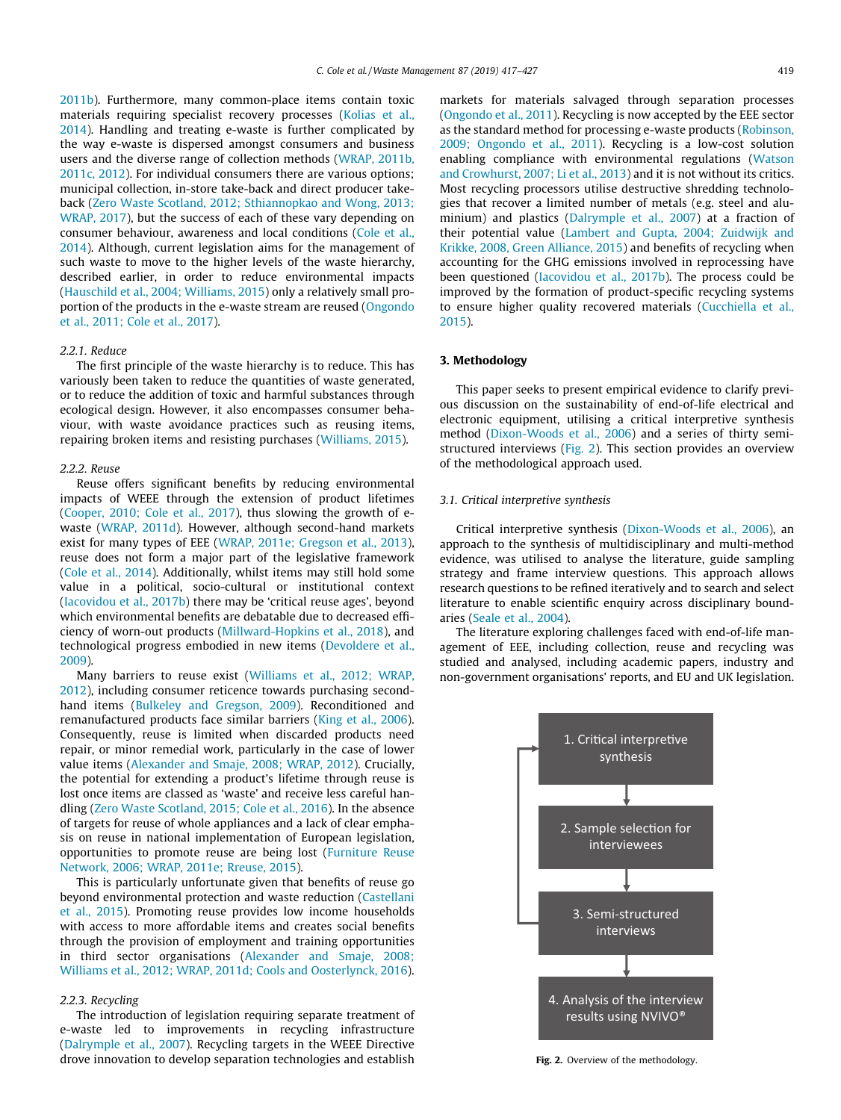[2011b](#page-10-0)). Furthermore, many common-place items contain toxic materials requiring specialist recovery processes [\(Kolias et al.,](#page-10-0) [2014\)](#page-10-0). Handling and treating e-waste is further complicated by the way e-waste is dispersed amongst consumers and business users and the diverse range of collection methods ([WRAP, 2011b,](#page-10-0) [2011c, 2012\)](#page-10-0). For individual consumers there are various options; municipal collection, in-store take-back and direct producer takeback ([Zero Waste Scotland, 2012; Sthiannopkao and Wong, 2013;](#page-10-0) [WRAP, 2017\)](#page-10-0), but the success of each of these vary depending on consumer behaviour, awareness and local conditions ([Cole et al.,](#page-9-0) [2014\)](#page-9-0). Although, current legislation aims for the management of such waste to move to the higher levels of the waste hierarchy, described earlier, in order to reduce environmental impacts ([Hauschild et al., 2004; Williams, 2015\)](#page-9-0) only a relatively small proportion of the products in the e-waste stream are reused [\(Ongondo](#page-10-0) [et al., 2011; Cole et al., 2017](#page-10-0)).

## 2.2.1. Reduce

The first principle of the waste hierarchy is to reduce. This has variously been taken to reduce the quantities of waste generated, or to reduce the addition of toxic and harmful substances through ecological design. However, it also encompasses consumer behaviour, with waste avoidance practices such as reusing items, repairing broken items and resisting purchases [\(Williams, 2015\)](#page-10-0).

#### 2.2.2. Reuse

Reuse offers significant benefits by reducing environmental impacts of WEEE through the extension of product lifetimes ([Cooper, 2010; Cole et al., 2017\)](#page-9-0), thus slowing the growth of ewaste ([WRAP, 2011d\)](#page-10-0). However, although second-hand markets exist for many types of EEE ([WRAP, 2011e; Gregson et al., 2013\)](#page-10-0), reuse does not form a major part of the legislative framework ([Cole et al., 2014\)](#page-9-0). Additionally, whilst items may still hold some value in a political, socio-cultural or institutional context ([Iacovidou et al., 2017b](#page-9-0)) there may be 'critical reuse ages', beyond which environmental benefits are debatable due to decreased efficiency of worn-out products [\(Millward-Hopkins et al., 2018\)](#page-10-0), and technological progress embodied in new items ([Devoldere et al.,](#page-9-0) [2009](#page-9-0)).

Many barriers to reuse exist ([Williams et al., 2012; WRAP,](#page-10-0) [2012\)](#page-10-0), including consumer reticence towards purchasing secondhand items [\(Bulkeley and Gregson, 2009\)](#page-9-0). Reconditioned and remanufactured products face similar barriers ([King et al., 2006\)](#page-10-0). Consequently, reuse is limited when discarded products need repair, or minor remedial work, particularly in the case of lower value items ([Alexander and Smaje, 2008; WRAP, 2012\)](#page-9-0). Crucially, the potential for extending a product's lifetime through reuse is lost once items are classed as 'waste' and receive less careful handling ([Zero Waste Scotland, 2015; Cole et al., 2016](#page-10-0)). In the absence of targets for reuse of whole appliances and a lack of clear emphasis on reuse in national implementation of European legislation, opportunities to promote reuse are being lost ([Furniture Reuse](#page-9-0) [Network, 2006; WRAP, 2011e; Rreuse, 2015\)](#page-9-0).

This is particularly unfortunate given that benefits of reuse go beyond environmental protection and waste reduction ([Castellani](#page-9-0) [et al., 2015](#page-9-0)). Promoting reuse provides low income households with access to more affordable items and creates social benefits through the provision of employment and training opportunities in third sector organisations ([Alexander and Smaje, 2008;](#page-9-0) [Williams et al., 2012; WRAP, 2011d; Cools and Oosterlynck, 2016\)](#page-9-0).

## 2.2.3. Recycling

The introduction of legislation requiring separate treatment of e-waste led to improvements in recycling infrastructure ([Dalrymple et al., 2007\)](#page-9-0). Recycling targets in the WEEE Directive drove innovation to develop separation technologies and establish

markets for materials salvaged through separation processes ([Ongondo et al., 2011\)](#page-10-0). Recycling is now accepted by the EEE sector as the standard method for processing e-waste products ([Robinson,](#page-10-0) [2009; Ongondo et al., 2011\)](#page-10-0). Recycling is a low-cost solution enabling compliance with environmental regulations ([Watson](#page-10-0) [and Crowhurst, 2007; Li et al., 2013\)](#page-10-0) and it is not without its critics. Most recycling processors utilise destructive shredding technologies that recover a limited number of metals (e.g. steel and aluminium) and plastics [\(Dalrymple et al., 2007](#page-9-0)) at a fraction of their potential value ([Lambert and Gupta, 2004; Zuidwijk and](#page-10-0) [Krikke, 2008, Green Alliance, 2015](#page-10-0)) and benefits of recycling when accounting for the GHG emissions involved in reprocessing have been questioned ([Iacovidou et al., 2017b](#page-9-0)). The process could be improved by the formation of product-specific recycling systems to ensure higher quality recovered materials [\(Cucchiella et al.,](#page-9-0) [2015](#page-9-0)).

#### 3. Methodology

This paper seeks to present empirical evidence to clarify previous discussion on the sustainability of end-of-life electrical and electronic equipment, utilising a critical interpretive synthesis method ([Dixon-Woods et al., 2006](#page-9-0)) and a series of thirty semistructured interviews (Fig. 2). This section provides an overview of the methodological approach used.

# 3.1. Critical interpretive synthesis

Critical interpretive synthesis [\(Dixon-Woods et al., 2006\)](#page-9-0), an approach to the synthesis of multidisciplinary and multi-method evidence, was utilised to analyse the literature, guide sampling strategy and frame interview questions. This approach allows research questions to be refined iteratively and to search and select literature to enable scientific enquiry across disciplinary boundaries [\(Seale et al., 2004](#page-10-0)).

The literature exploring challenges faced with end-of-life management of EEE, including collection, reuse and recycling was studied and analysed, including academic papers, industry and non-government organisations' reports, and EU and UK legislation.



Fig. 2. Overview of the methodology.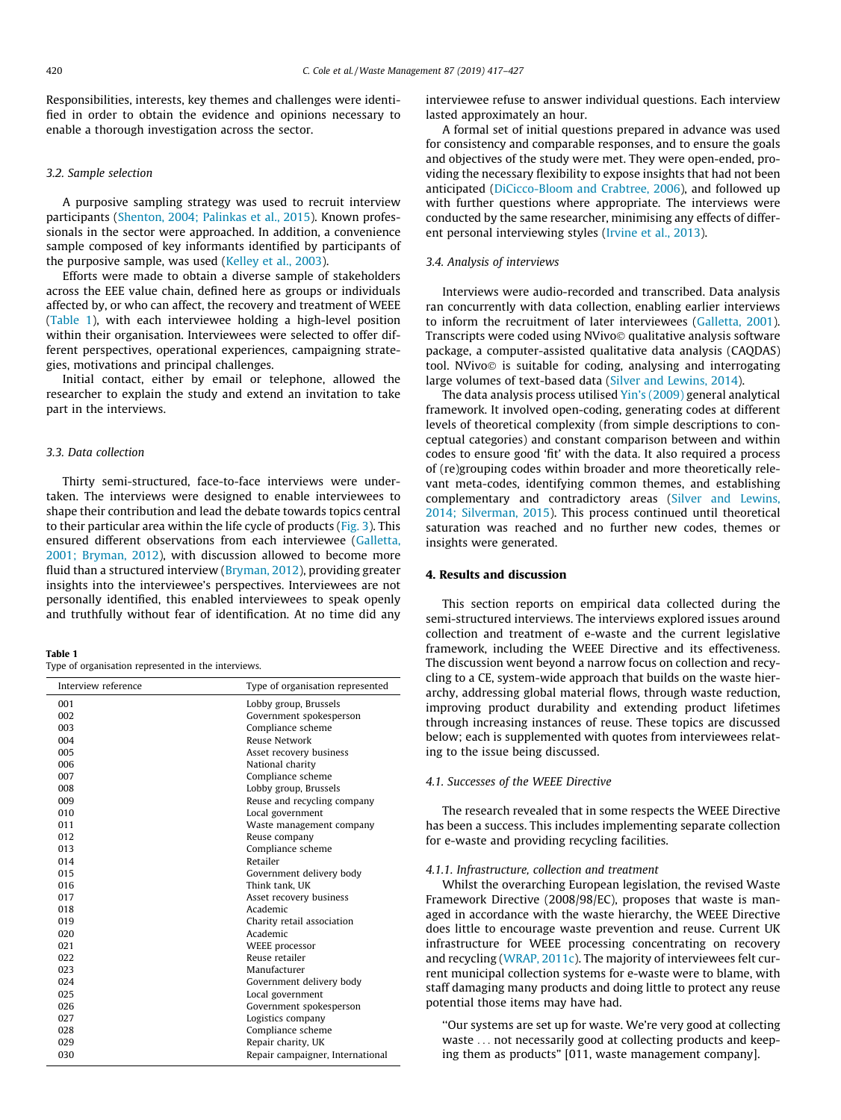Responsibilities, interests, key themes and challenges were identified in order to obtain the evidence and opinions necessary to enable a thorough investigation across the sector.

## 3.2. Sample selection

A purposive sampling strategy was used to recruit interview participants ([Shenton, 2004; Palinkas et al., 2015\)](#page-10-0). Known professionals in the sector were approached. In addition, a convenience sample composed of key informants identified by participants of the purposive sample, was used [\(Kelley et al., 2003](#page-10-0)).

Efforts were made to obtain a diverse sample of stakeholders across the EEE value chain, defined here as groups or individuals affected by, or who can affect, the recovery and treatment of WEEE (Table 1), with each interviewee holding a high-level position within their organisation. Interviewees were selected to offer different perspectives, operational experiences, campaigning strategies, motivations and principal challenges.

Initial contact, either by email or telephone, allowed the researcher to explain the study and extend an invitation to take part in the interviews.

## 3.3. Data collection

Thirty semi-structured, face-to-face interviews were undertaken. The interviews were designed to enable interviewees to shape their contribution and lead the debate towards topics central to their particular area within the life cycle of products ([Fig. 3](#page-4-0)). This ensured different observations from each interviewee [\(Galletta,](#page-9-0) [2001; Bryman, 2012\)](#page-9-0), with discussion allowed to become more fluid than a structured interview ([Bryman, 2012\)](#page-9-0), providing greater insights into the interviewee's perspectives. Interviewees are not personally identified, this enabled interviewees to speak openly and truthfully without fear of identification. At no time did any

#### Table 1

Type of organisation represented in the interviews.

| Interview reference | Type of organisation represented |
|---------------------|----------------------------------|
| 001                 | Lobby group, Brussels            |
| 002                 | Government spokesperson          |
| 003                 | Compliance scheme                |
| 004                 | Reuse Network                    |
| 005                 | Asset recovery business          |
| 006                 | National charity                 |
| 007                 | Compliance scheme                |
| 008                 | Lobby group, Brussels            |
| 009                 | Reuse and recycling company      |
| 010                 | Local government                 |
| 011                 | Waste management company         |
| 012                 | Reuse company                    |
| 013                 | Compliance scheme                |
| 014                 | Retailer                         |
| 015                 | Government delivery body         |
| 016                 | Think tank. UK                   |
| 017                 | Asset recovery business          |
| 018                 | Academic                         |
| 019                 | Charity retail association       |
| 020                 | Academic                         |
| 021                 | WEEE processor                   |
| 022                 | Reuse retailer                   |
| 023                 | Manufacturer                     |
| 024                 | Government delivery body         |
| 025                 | Local government                 |
| 026                 | Government spokesperson          |
| 027                 | Logistics company                |
| 028                 | Compliance scheme                |
| 029                 | Repair charity, UK               |
| 030                 | Repair campaigner, International |

interviewee refuse to answer individual questions. Each interview lasted approximately an hour.

A formal set of initial questions prepared in advance was used for consistency and comparable responses, and to ensure the goals and objectives of the study were met. They were open-ended, providing the necessary flexibility to expose insights that had not been anticipated [\(DiCicco-Bloom and Crabtree, 2006\)](#page-9-0), and followed up with further questions where appropriate. The interviews were conducted by the same researcher, minimising any effects of different personal interviewing styles ([Irvine et al., 2013](#page-9-0)).

## 3.4. Analysis of interviews

Interviews were audio-recorded and transcribed. Data analysis ran concurrently with data collection, enabling earlier interviews to inform the recruitment of later interviewees ([Galletta, 2001\)](#page-9-0). Transcripts were coded using NVivo© qualitative analysis software package, a computer-assisted qualitative data analysis (CAQDAS) tool. NVivo© is suitable for coding, analysing and interrogating large volumes of text-based data [\(Silver and Lewins, 2014\)](#page-10-0).

The data analysis process utilised [Yin's \(2009\)](#page-10-0) general analytical framework. It involved open-coding, generating codes at different levels of theoretical complexity (from simple descriptions to conceptual categories) and constant comparison between and within codes to ensure good 'fit' with the data. It also required a process of (re)grouping codes within broader and more theoretically relevant meta-codes, identifying common themes, and establishing complementary and contradictory areas ([Silver and Lewins,](#page-10-0) [2014; Silverman, 2015\)](#page-10-0). This process continued until theoretical saturation was reached and no further new codes, themes or insights were generated.

## 4. Results and discussion

This section reports on empirical data collected during the semi-structured interviews. The interviews explored issues around collection and treatment of e-waste and the current legislative framework, including the WEEE Directive and its effectiveness. The discussion went beyond a narrow focus on collection and recycling to a CE, system-wide approach that builds on the waste hierarchy, addressing global material flows, through waste reduction, improving product durability and extending product lifetimes through increasing instances of reuse. These topics are discussed below; each is supplemented with quotes from interviewees relating to the issue being discussed.

## 4.1. Successes of the WEEE Directive

The research revealed that in some respects the WEEE Directive has been a success. This includes implementing separate collection for e-waste and providing recycling facilities.

## 4.1.1. Infrastructure, collection and treatment

Whilst the overarching European legislation, the revised Waste Framework Directive (2008/98/EC), proposes that waste is managed in accordance with the waste hierarchy, the WEEE Directive does little to encourage waste prevention and reuse. Current UK infrastructure for WEEE processing concentrating on recovery and recycling ([WRAP, 2011c\)](#page-10-0). The majority of interviewees felt current municipal collection systems for e-waste were to blame, with staff damaging many products and doing little to protect any reuse potential those items may have had.

''Our systems are set up for waste. We're very good at collecting waste ... not necessarily good at collecting products and keeping them as products" [011, waste management company].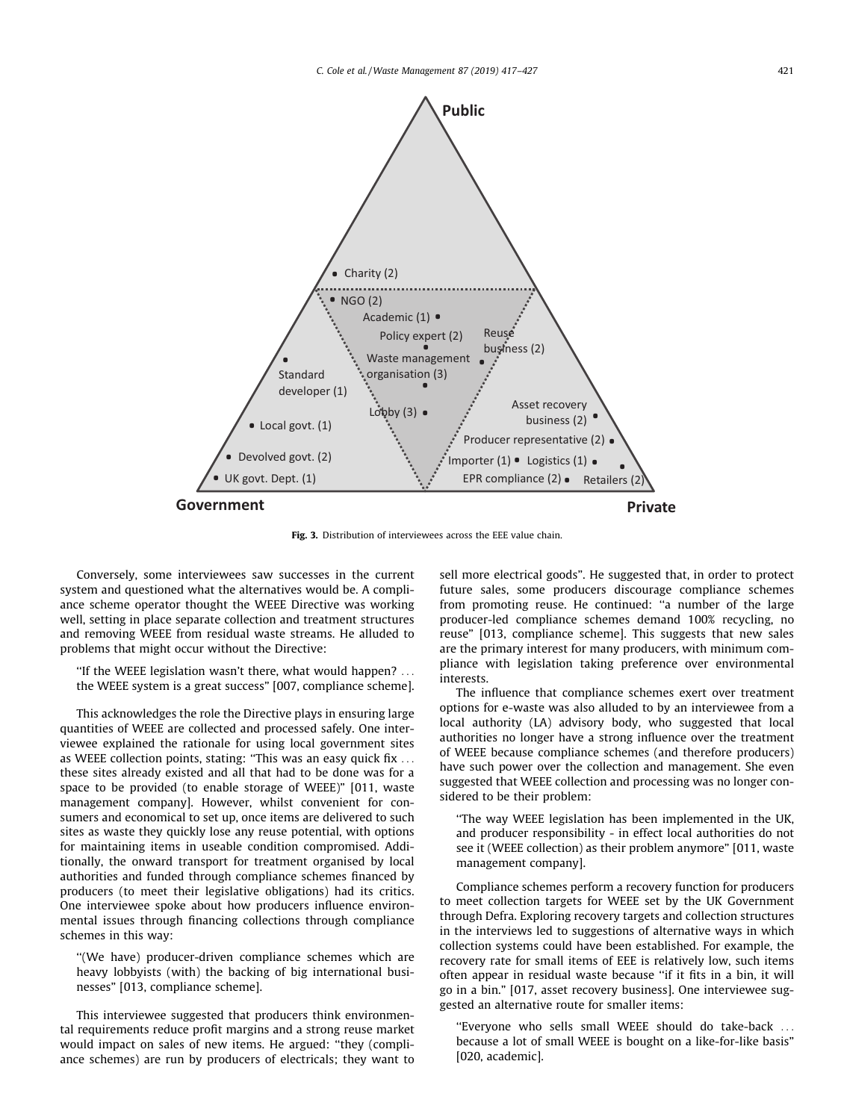<span id="page-4-0"></span>

Fig. 3. Distribution of interviewees across the EEE value chain.

Conversely, some interviewees saw successes in the current system and questioned what the alternatives would be. A compliance scheme operator thought the WEEE Directive was working well, setting in place separate collection and treatment structures and removing WEEE from residual waste streams. He alluded to problems that might occur without the Directive:

''If the WEEE legislation wasn't there, what would happen? ... the WEEE system is a great success" [007, compliance scheme].

This acknowledges the role the Directive plays in ensuring large quantities of WEEE are collected and processed safely. One interviewee explained the rationale for using local government sites as WEEE collection points, stating: ''This was an easy quick fix ... these sites already existed and all that had to be done was for a space to be provided (to enable storage of WEEE)" [011, waste management company]. However, whilst convenient for consumers and economical to set up, once items are delivered to such sites as waste they quickly lose any reuse potential, with options for maintaining items in useable condition compromised. Additionally, the onward transport for treatment organised by local authorities and funded through compliance schemes financed by producers (to meet their legislative obligations) had its critics. One interviewee spoke about how producers influence environmental issues through financing collections through compliance schemes in this way:

''(We have) producer-driven compliance schemes which are heavy lobbyists (with) the backing of big international businesses" [013, compliance scheme].

This interviewee suggested that producers think environmental requirements reduce profit margins and a strong reuse market would impact on sales of new items. He argued: ''they (compliance schemes) are run by producers of electricals; they want to sell more electrical goods". He suggested that, in order to protect future sales, some producers discourage compliance schemes from promoting reuse. He continued: ''a number of the large producer-led compliance schemes demand 100% recycling, no reuse" [013, compliance scheme]. This suggests that new sales are the primary interest for many producers, with minimum compliance with legislation taking preference over environmental interests.

The influence that compliance schemes exert over treatment options for e-waste was also alluded to by an interviewee from a local authority (LA) advisory body, who suggested that local authorities no longer have a strong influence over the treatment of WEEE because compliance schemes (and therefore producers) have such power over the collection and management. She even suggested that WEEE collection and processing was no longer considered to be their problem:

''The way WEEE legislation has been implemented in the UK, and producer responsibility - in effect local authorities do not see it (WEEE collection) as their problem anymore" [011, waste management company].

Compliance schemes perform a recovery function for producers to meet collection targets for WEEE set by the UK Government through Defra. Exploring recovery targets and collection structures in the interviews led to suggestions of alternative ways in which collection systems could have been established. For example, the recovery rate for small items of EEE is relatively low, such items often appear in residual waste because ''if it fits in a bin, it will go in a bin." [017, asset recovery business]. One interviewee suggested an alternative route for smaller items:

''Everyone who sells small WEEE should do take-back ... because a lot of small WEEE is bought on a like-for-like basis" [020, academic].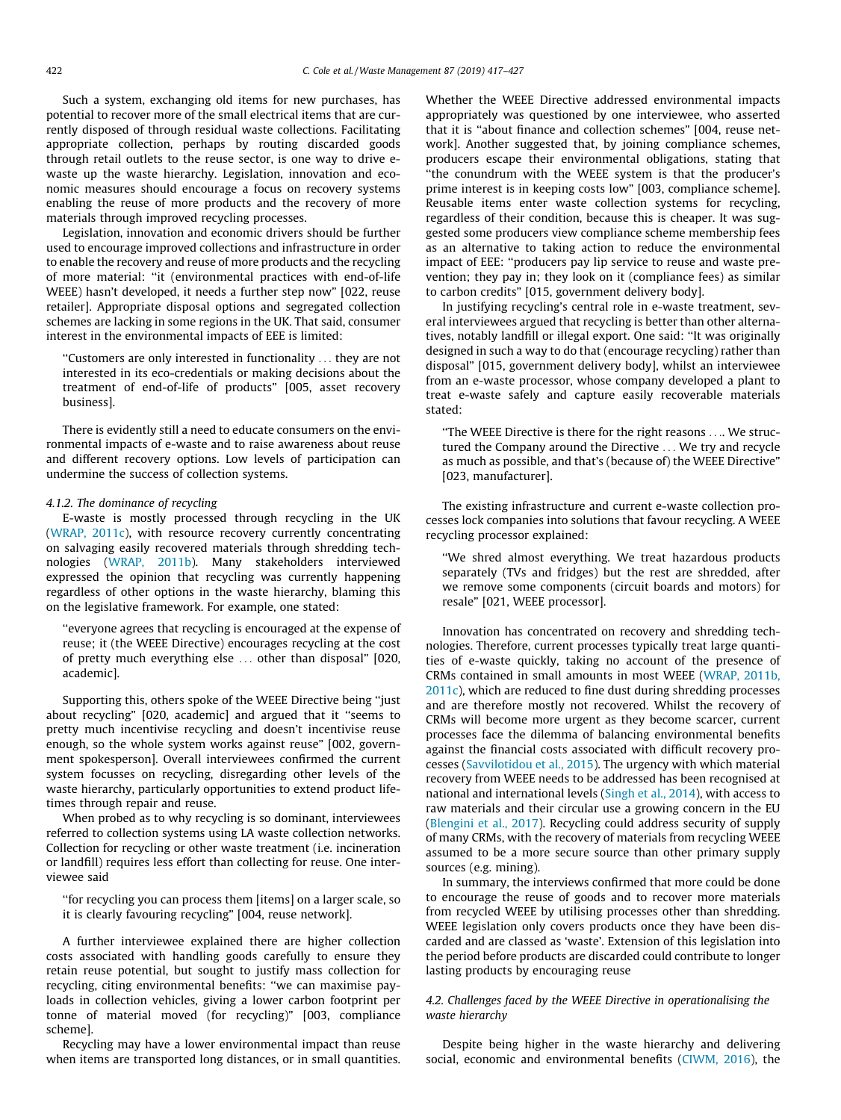Such a system, exchanging old items for new purchases, has potential to recover more of the small electrical items that are currently disposed of through residual waste collections. Facilitating appropriate collection, perhaps by routing discarded goods through retail outlets to the reuse sector, is one way to drive ewaste up the waste hierarchy. Legislation, innovation and economic measures should encourage a focus on recovery systems enabling the reuse of more products and the recovery of more materials through improved recycling processes.

Legislation, innovation and economic drivers should be further used to encourage improved collections and infrastructure in order to enable the recovery and reuse of more products and the recycling of more material: ''it (environmental practices with end-of-life WEEE) hasn't developed, it needs a further step now" [022, reuse retailer]. Appropriate disposal options and segregated collection schemes are lacking in some regions in the UK. That said, consumer interest in the environmental impacts of EEE is limited:

''Customers are only interested in functionality ... they are not interested in its eco-credentials or making decisions about the treatment of end-of-life of products" [005, asset recovery business].

There is evidently still a need to educate consumers on the environmental impacts of e-waste and to raise awareness about reuse and different recovery options. Low levels of participation can undermine the success of collection systems.

## 4.1.2. The dominance of recycling

E-waste is mostly processed through recycling in the UK ([WRAP, 2011c](#page-10-0)), with resource recovery currently concentrating on salvaging easily recovered materials through shredding technologies ([WRAP, 2011b](#page-10-0)). Many stakeholders interviewed expressed the opinion that recycling was currently happening regardless of other options in the waste hierarchy, blaming this on the legislative framework. For example, one stated:

''everyone agrees that recycling is encouraged at the expense of reuse; it (the WEEE Directive) encourages recycling at the cost of pretty much everything else ... other than disposal" [020, academic].

Supporting this, others spoke of the WEEE Directive being ''just about recycling" [020, academic] and argued that it ''seems to pretty much incentivise recycling and doesn't incentivise reuse enough, so the whole system works against reuse" [002, government spokesperson]. Overall interviewees confirmed the current system focusses on recycling, disregarding other levels of the waste hierarchy, particularly opportunities to extend product lifetimes through repair and reuse.

When probed as to why recycling is so dominant, interviewees referred to collection systems using LA waste collection networks. Collection for recycling or other waste treatment (i.e. incineration or landfill) requires less effort than collecting for reuse. One interviewee said

''for recycling you can process them [items] on a larger scale, so it is clearly favouring recycling" [004, reuse network].

A further interviewee explained there are higher collection costs associated with handling goods carefully to ensure they retain reuse potential, but sought to justify mass collection for recycling, citing environmental benefits: ''we can maximise payloads in collection vehicles, giving a lower carbon footprint per tonne of material moved (for recycling)" [003, compliance scheme].

Recycling may have a lower environmental impact than reuse when items are transported long distances, or in small quantities. Whether the WEEE Directive addressed environmental impacts appropriately was questioned by one interviewee, who asserted that it is ''about finance and collection schemes" [004, reuse network]. Another suggested that, by joining compliance schemes, producers escape their environmental obligations, stating that ''the conundrum with the WEEE system is that the producer's prime interest is in keeping costs low" [003, compliance scheme]. Reusable items enter waste collection systems for recycling, regardless of their condition, because this is cheaper. It was suggested some producers view compliance scheme membership fees as an alternative to taking action to reduce the environmental impact of EEE: ''producers pay lip service to reuse and waste prevention; they pay in; they look on it (compliance fees) as similar to carbon credits" [015, government delivery body].

In justifying recycling's central role in e-waste treatment, several interviewees argued that recycling is better than other alternatives, notably landfill or illegal export. One said: ''It was originally designed in such a way to do that (encourage recycling) rather than disposal" [015, government delivery body], whilst an interviewee from an e-waste processor, whose company developed a plant to treat e-waste safely and capture easily recoverable materials stated:

''The WEEE Directive is there for the right reasons .... We structured the Company around the Directive ... We try and recycle as much as possible, and that's (because of) the WEEE Directive" [023, manufacturer].

The existing infrastructure and current e-waste collection processes lock companies into solutions that favour recycling. A WEEE recycling processor explained:

''We shred almost everything. We treat hazardous products separately (TVs and fridges) but the rest are shredded, after we remove some components (circuit boards and motors) for resale" [021, WEEE processor].

Innovation has concentrated on recovery and shredding technologies. Therefore, current processes typically treat large quantities of e-waste quickly, taking no account of the presence of CRMs contained in small amounts in most WEEE ([WRAP, 2011b,](#page-10-0) [2011c\)](#page-10-0), which are reduced to fine dust during shredding processes and are therefore mostly not recovered. Whilst the recovery of CRMs will become more urgent as they become scarcer, current processes face the dilemma of balancing environmental benefits against the financial costs associated with difficult recovery processes [\(Savvilotidou et al., 2015\)](#page-10-0). The urgency with which material recovery from WEEE needs to be addressed has been recognised at national and international levels ([Singh et al., 2014\)](#page-10-0), with access to raw materials and their circular use a growing concern in the EU ([Blengini et al., 2017\)](#page-9-0). Recycling could address security of supply of many CRMs, with the recovery of materials from recycling WEEE assumed to be a more secure source than other primary supply sources (e.g. mining).

In summary, the interviews confirmed that more could be done to encourage the reuse of goods and to recover more materials from recycled WEEE by utilising processes other than shredding. WEEE legislation only covers products once they have been discarded and are classed as 'waste'. Extension of this legislation into the period before products are discarded could contribute to longer lasting products by encouraging reuse

# 4.2. Challenges faced by the WEEE Directive in operationalising the waste hierarchy

Despite being higher in the waste hierarchy and delivering social, economic and environmental benefits [\(CIWM, 2016\)](#page-9-0), the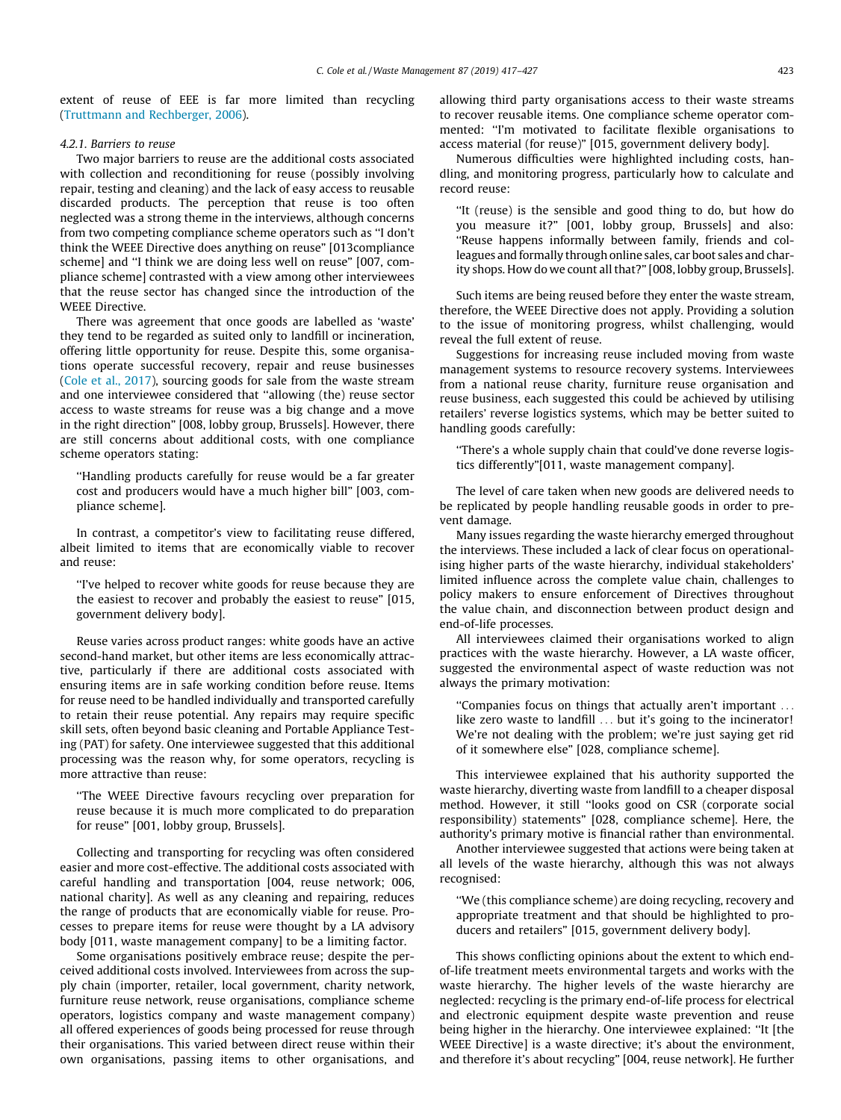extent of reuse of EEE is far more limited than recycling ([Truttmann and Rechberger, 2006](#page-10-0)).

#### 4.2.1. Barriers to reuse

Two major barriers to reuse are the additional costs associated with collection and reconditioning for reuse (possibly involving repair, testing and cleaning) and the lack of easy access to reusable discarded products. The perception that reuse is too often neglected was a strong theme in the interviews, although concerns from two competing compliance scheme operators such as ''I don't think the WEEE Directive does anything on reuse" [013compliance scheme] and ''I think we are doing less well on reuse" [007, compliance scheme] contrasted with a view among other interviewees that the reuse sector has changed since the introduction of the WEEE Directive.

There was agreement that once goods are labelled as 'waste' they tend to be regarded as suited only to landfill or incineration, offering little opportunity for reuse. Despite this, some organisations operate successful recovery, repair and reuse businesses ([Cole et al., 2017](#page-9-0)), sourcing goods for sale from the waste stream and one interviewee considered that ''allowing (the) reuse sector access to waste streams for reuse was a big change and a move in the right direction" [008, lobby group, Brussels]. However, there are still concerns about additional costs, with one compliance scheme operators stating:

''Handling products carefully for reuse would be a far greater cost and producers would have a much higher bill" [003, compliance scheme].

In contrast, a competitor's view to facilitating reuse differed, albeit limited to items that are economically viable to recover and reuse:

''I've helped to recover white goods for reuse because they are the easiest to recover and probably the easiest to reuse" [015, government delivery body].

Reuse varies across product ranges: white goods have an active second-hand market, but other items are less economically attractive, particularly if there are additional costs associated with ensuring items are in safe working condition before reuse. Items for reuse need to be handled individually and transported carefully to retain their reuse potential. Any repairs may require specific skill sets, often beyond basic cleaning and Portable Appliance Testing (PAT) for safety. One interviewee suggested that this additional processing was the reason why, for some operators, recycling is more attractive than reuse:

''The WEEE Directive favours recycling over preparation for reuse because it is much more complicated to do preparation for reuse" [001, lobby group, Brussels].

Collecting and transporting for recycling was often considered easier and more cost-effective. The additional costs associated with careful handling and transportation [004, reuse network; 006, national charity]. As well as any cleaning and repairing, reduces the range of products that are economically viable for reuse. Processes to prepare items for reuse were thought by a LA advisory body [011, waste management company] to be a limiting factor.

Some organisations positively embrace reuse; despite the perceived additional costs involved. Interviewees from across the supply chain (importer, retailer, local government, charity network, furniture reuse network, reuse organisations, compliance scheme operators, logistics company and waste management company) all offered experiences of goods being processed for reuse through their organisations. This varied between direct reuse within their own organisations, passing items to other organisations, and

allowing third party organisations access to their waste streams to recover reusable items. One compliance scheme operator commented: ''I'm motivated to facilitate flexible organisations to access material (for reuse)" [015, government delivery body].

Numerous difficulties were highlighted including costs, handling, and monitoring progress, particularly how to calculate and record reuse:

''It (reuse) is the sensible and good thing to do, but how do you measure it?" [001, lobby group, Brussels] and also: ''Reuse happens informally between family, friends and colleagues and formally through online sales, car boot sales and charity shops. How do we count all that?" [008, lobby group, Brussels].

Such items are being reused before they enter the waste stream, therefore, the WEEE Directive does not apply. Providing a solution to the issue of monitoring progress, whilst challenging, would reveal the full extent of reuse.

Suggestions for increasing reuse included moving from waste management systems to resource recovery systems. Interviewees from a national reuse charity, furniture reuse organisation and reuse business, each suggested this could be achieved by utilising retailers' reverse logistics systems, which may be better suited to handling goods carefully:

''There's a whole supply chain that could've done reverse logistics differently"[011, waste management company].

The level of care taken when new goods are delivered needs to be replicated by people handling reusable goods in order to prevent damage.

Many issues regarding the waste hierarchy emerged throughout the interviews. These included a lack of clear focus on operationalising higher parts of the waste hierarchy, individual stakeholders' limited influence across the complete value chain, challenges to policy makers to ensure enforcement of Directives throughout the value chain, and disconnection between product design and end-of-life processes.

All interviewees claimed their organisations worked to align practices with the waste hierarchy. However, a LA waste officer, suggested the environmental aspect of waste reduction was not always the primary motivation:

''Companies focus on things that actually aren't important ... like zero waste to landfill ... but it's going to the incinerator! We're not dealing with the problem; we're just saying get rid of it somewhere else" [028, compliance scheme].

This interviewee explained that his authority supported the waste hierarchy, diverting waste from landfill to a cheaper disposal method. However, it still ''looks good on CSR (corporate social responsibility) statements" [028, compliance scheme]. Here, the authority's primary motive is financial rather than environmental.

Another interviewee suggested that actions were being taken at all levels of the waste hierarchy, although this was not always recognised:

''We (this compliance scheme) are doing recycling, recovery and appropriate treatment and that should be highlighted to producers and retailers" [015, government delivery body].

This shows conflicting opinions about the extent to which endof-life treatment meets environmental targets and works with the waste hierarchy. The higher levels of the waste hierarchy are neglected: recycling is the primary end-of-life process for electrical and electronic equipment despite waste prevention and reuse being higher in the hierarchy. One interviewee explained: ''It [the WEEE Directive] is a waste directive; it's about the environment, and therefore it's about recycling" [004, reuse network]. He further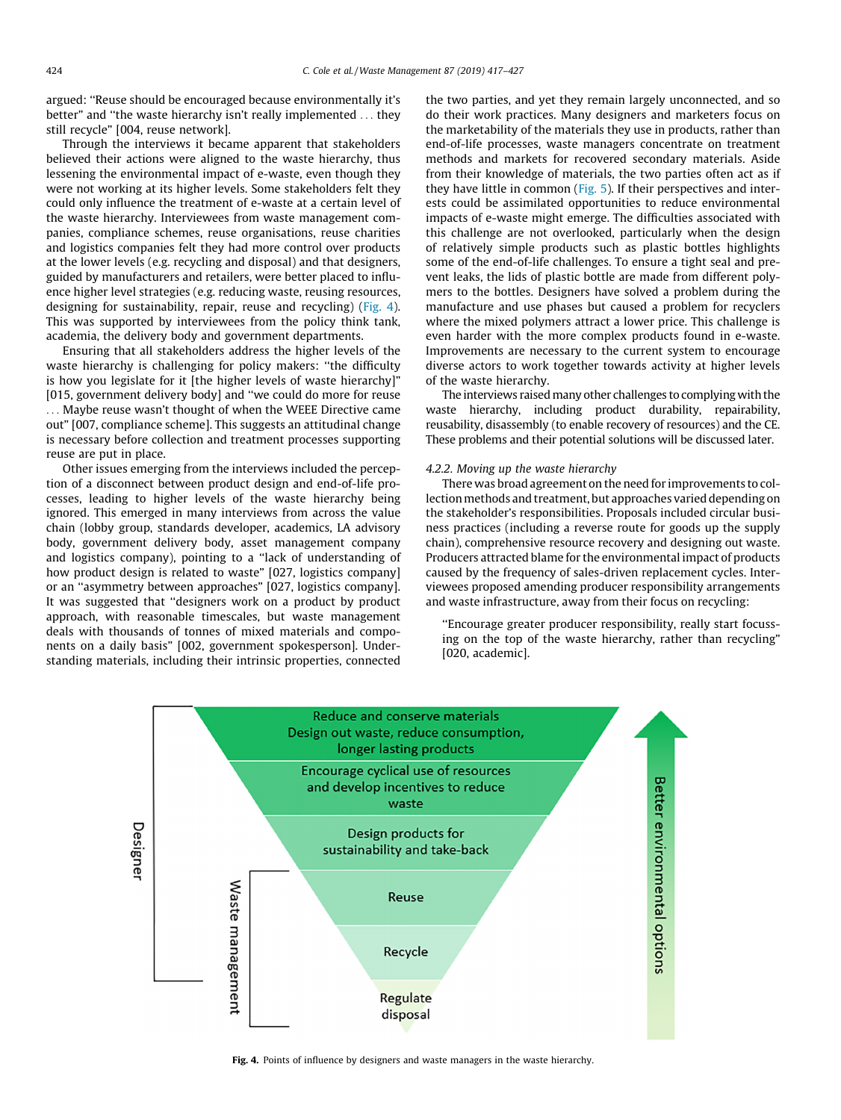argued: ''Reuse should be encouraged because environmentally it's better" and ''the waste hierarchy isn't really implemented ... they still recycle" [004, reuse network].

Through the interviews it became apparent that stakeholders believed their actions were aligned to the waste hierarchy, thus lessening the environmental impact of e-waste, even though they were not working at its higher levels. Some stakeholders felt they could only influence the treatment of e-waste at a certain level of the waste hierarchy. Interviewees from waste management companies, compliance schemes, reuse organisations, reuse charities and logistics companies felt they had more control over products at the lower levels (e.g. recycling and disposal) and that designers, guided by manufacturers and retailers, were better placed to influence higher level strategies (e.g. reducing waste, reusing resources, designing for sustainability, repair, reuse and recycling) (Fig. 4). This was supported by interviewees from the policy think tank, academia, the delivery body and government departments.

Ensuring that all stakeholders address the higher levels of the waste hierarchy is challenging for policy makers: ''the difficulty is how you legislate for it [the higher levels of waste hierarchy]" [015, government delivery body] and ''we could do more for reuse ... Maybe reuse wasn't thought of when the WEEE Directive came out" [007, compliance scheme]. This suggests an attitudinal change is necessary before collection and treatment processes supporting reuse are put in place.

Other issues emerging from the interviews included the perception of a disconnect between product design and end-of-life processes, leading to higher levels of the waste hierarchy being ignored. This emerged in many interviews from across the value chain (lobby group, standards developer, academics, LA advisory body, government delivery body, asset management company and logistics company), pointing to a ''lack of understanding of how product design is related to waste" [027, logistics company] or an ''asymmetry between approaches" [027, logistics company]. It was suggested that ''designers work on a product by product approach, with reasonable timescales, but waste management deals with thousands of tonnes of mixed materials and components on a daily basis" [002, government spokesperson]. Understanding materials, including their intrinsic properties, connected the two parties, and yet they remain largely unconnected, and so do their work practices. Many designers and marketers focus on the marketability of the materials they use in products, rather than end-of-life processes, waste managers concentrate on treatment methods and markets for recovered secondary materials. Aside from their knowledge of materials, the two parties often act as if they have little in common ([Fig. 5](#page-8-0)). If their perspectives and interests could be assimilated opportunities to reduce environmental impacts of e-waste might emerge. The difficulties associated with this challenge are not overlooked, particularly when the design of relatively simple products such as plastic bottles highlights some of the end-of-life challenges. To ensure a tight seal and prevent leaks, the lids of plastic bottle are made from different polymers to the bottles. Designers have solved a problem during the manufacture and use phases but caused a problem for recyclers where the mixed polymers attract a lower price. This challenge is even harder with the more complex products found in e-waste. Improvements are necessary to the current system to encourage diverse actors to work together towards activity at higher levels of the waste hierarchy.

The interviews raised many other challenges to complying with the waste hierarchy, including product durability, repairability, reusability, disassembly (to enable recovery of resources) and the CE. These problems and their potential solutions will be discussed later.

## 4.2.2. Moving up the waste hierarchy

There was broad agreement on the need for improvements to collection methods and treatment, but approaches varied depending on the stakeholder's responsibilities. Proposals included circular business practices (including a reverse route for goods up the supply chain), comprehensive resource recovery and designing out waste. Producers attracted blame for the environmental impact of products caused by the frequency of sales-driven replacement cycles. Interviewees proposed amending producer responsibility arrangements and waste infrastructure, away from their focus on recycling:

''Encourage greater producer responsibility, really start focussing on the top of the waste hierarchy, rather than recycling" [020, academic].



Fig. 4. Points of influence by designers and waste managers in the waste hierarchy.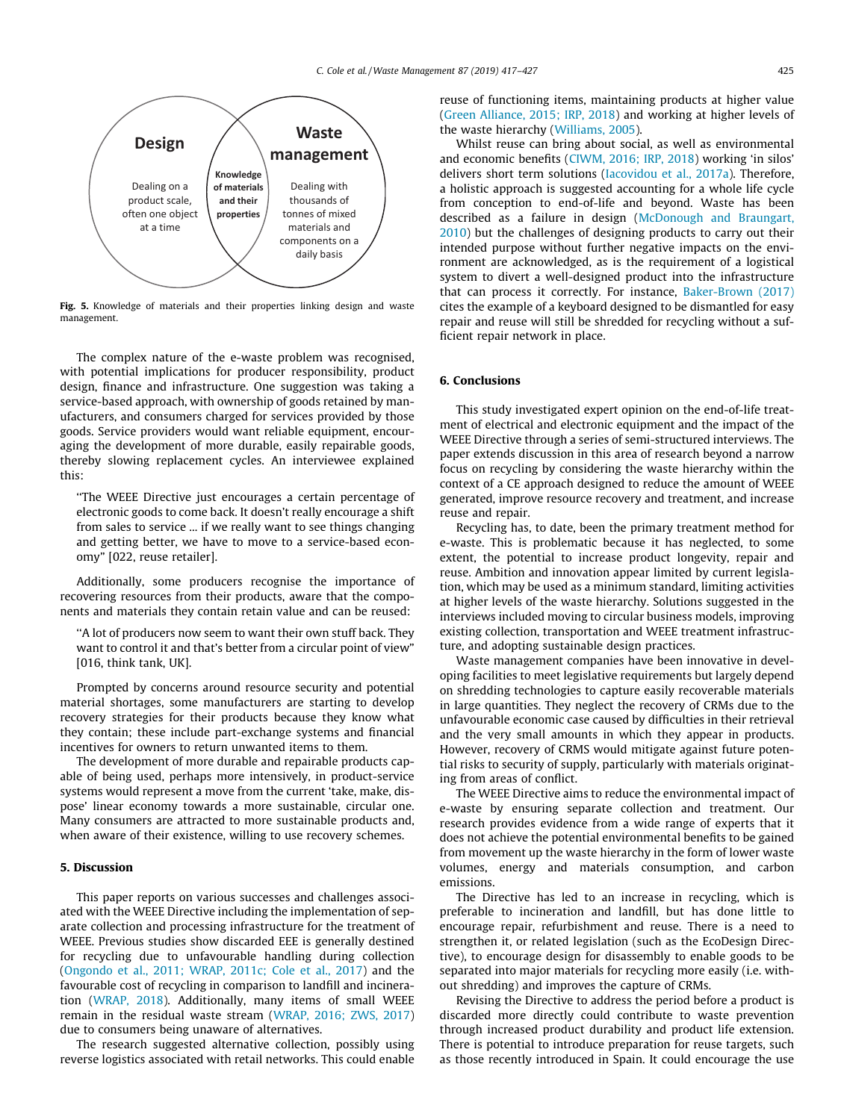<span id="page-8-0"></span>

Fig. 5. Knowledge of materials and their properties linking design and waste management.

The complex nature of the e-waste problem was recognised, with potential implications for producer responsibility, product design, finance and infrastructure. One suggestion was taking a service-based approach, with ownership of goods retained by manufacturers, and consumers charged for services provided by those goods. Service providers would want reliable equipment, encouraging the development of more durable, easily repairable goods, thereby slowing replacement cycles. An interviewee explained this:

''The WEEE Directive just encourages a certain percentage of electronic goods to come back. It doesn't really encourage a shift from sales to service ... if we really want to see things changing and getting better, we have to move to a service-based economy" [022, reuse retailer].

Additionally, some producers recognise the importance of recovering resources from their products, aware that the components and materials they contain retain value and can be reused:

''A lot of producers now seem to want their own stuff back. They want to control it and that's better from a circular point of view" [016, think tank, UK].

Prompted by concerns around resource security and potential material shortages, some manufacturers are starting to develop recovery strategies for their products because they know what they contain; these include part-exchange systems and financial incentives for owners to return unwanted items to them.

The development of more durable and repairable products capable of being used, perhaps more intensively, in product-service systems would represent a move from the current 'take, make, dispose' linear economy towards a more sustainable, circular one. Many consumers are attracted to more sustainable products and, when aware of their existence, willing to use recovery schemes.

# 5. Discussion

This paper reports on various successes and challenges associated with the WEEE Directive including the implementation of separate collection and processing infrastructure for the treatment of WEEE. Previous studies show discarded EEE is generally destined for recycling due to unfavourable handling during collection ([Ongondo et al., 2011; WRAP, 2011c; Cole et al., 2017\)](#page-10-0) and the favourable cost of recycling in comparison to landfill and incineration [\(WRAP, 2018\)](#page-10-0). Additionally, many items of small WEEE remain in the residual waste stream ([WRAP, 2016; ZWS, 2017\)](#page-10-0) due to consumers being unaware of alternatives.

The research suggested alternative collection, possibly using reverse logistics associated with retail networks. This could enable

reuse of functioning items, maintaining products at higher value ([Green Alliance, 2015; IRP, 2018\)](#page-9-0) and working at higher levels of the waste hierarchy ([Williams, 2005](#page-10-0)).

Whilst reuse can bring about social, as well as environmental and economic benefits [\(CIWM, 2016; IRP, 2018\)](#page-9-0) working 'in silos' delivers short term solutions [\(Iacovidou et al., 2017a](#page-9-0)). Therefore, a holistic approach is suggested accounting for a whole life cycle from conception to end-of-life and beyond. Waste has been described as a failure in design [\(McDonough and Braungart,](#page-10-0) [2010](#page-10-0)) but the challenges of designing products to carry out their intended purpose without further negative impacts on the environment are acknowledged, as is the requirement of a logistical system to divert a well-designed product into the infrastructure that can process it correctly. For instance, [Baker-Brown \(2017\)](#page-9-0) cites the example of a keyboard designed to be dismantled for easy repair and reuse will still be shredded for recycling without a sufficient repair network in place.

# 6. Conclusions

This study investigated expert opinion on the end-of-life treatment of electrical and electronic equipment and the impact of the WEEE Directive through a series of semi-structured interviews. The paper extends discussion in this area of research beyond a narrow focus on recycling by considering the waste hierarchy within the context of a CE approach designed to reduce the amount of WEEE generated, improve resource recovery and treatment, and increase reuse and repair.

Recycling has, to date, been the primary treatment method for e-waste. This is problematic because it has neglected, to some extent, the potential to increase product longevity, repair and reuse. Ambition and innovation appear limited by current legislation, which may be used as a minimum standard, limiting activities at higher levels of the waste hierarchy. Solutions suggested in the interviews included moving to circular business models, improving existing collection, transportation and WEEE treatment infrastructure, and adopting sustainable design practices.

Waste management companies have been innovative in developing facilities to meet legislative requirements but largely depend on shredding technologies to capture easily recoverable materials in large quantities. They neglect the recovery of CRMs due to the unfavourable economic case caused by difficulties in their retrieval and the very small amounts in which they appear in products. However, recovery of CRMS would mitigate against future potential risks to security of supply, particularly with materials originating from areas of conflict.

The WEEE Directive aims to reduce the environmental impact of e-waste by ensuring separate collection and treatment. Our research provides evidence from a wide range of experts that it does not achieve the potential environmental benefits to be gained from movement up the waste hierarchy in the form of lower waste volumes, energy and materials consumption, and carbon emissions.

The Directive has led to an increase in recycling, which is preferable to incineration and landfill, but has done little to encourage repair, refurbishment and reuse. There is a need to strengthen it, or related legislation (such as the EcoDesign Directive), to encourage design for disassembly to enable goods to be separated into major materials for recycling more easily (i.e. without shredding) and improves the capture of CRMs.

Revising the Directive to address the period before a product is discarded more directly could contribute to waste prevention through increased product durability and product life extension. There is potential to introduce preparation for reuse targets, such as those recently introduced in Spain. It could encourage the use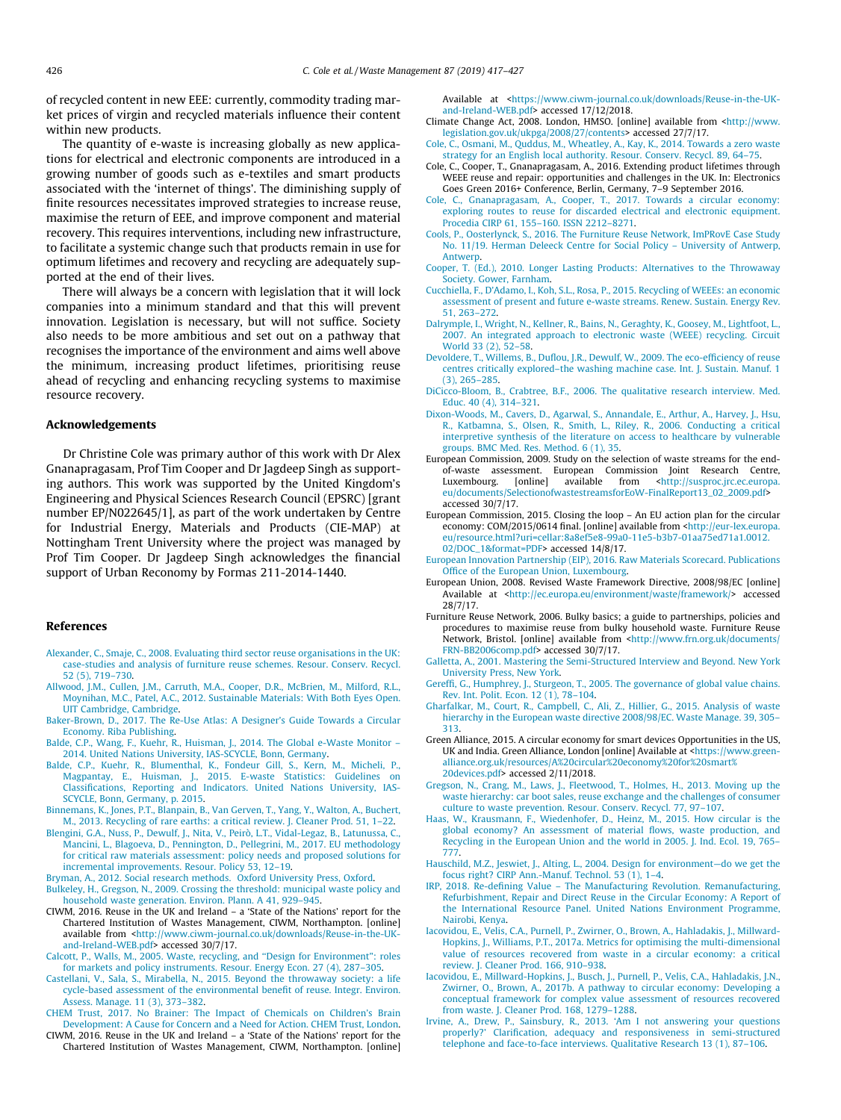<span id="page-9-0"></span>of recycled content in new EEE: currently, commodity trading market prices of virgin and recycled materials influence their content within new products.

The quantity of e-waste is increasing globally as new applications for electrical and electronic components are introduced in a growing number of goods such as e-textiles and smart products associated with the 'internet of things'. The diminishing supply of finite resources necessitates improved strategies to increase reuse, maximise the return of EEE, and improve component and material recovery. This requires interventions, including new infrastructure, to facilitate a systemic change such that products remain in use for optimum lifetimes and recovery and recycling are adequately supported at the end of their lives.

There will always be a concern with legislation that it will lock companies into a minimum standard and that this will prevent innovation. Legislation is necessary, but will not suffice. Society also needs to be more ambitious and set out on a pathway that recognises the importance of the environment and aims well above the minimum, increasing product lifetimes, prioritising reuse ahead of recycling and enhancing recycling systems to maximise resource recovery.

## Acknowledgements

Dr Christine Cole was primary author of this work with Dr Alex Gnanapragasam, Prof Tim Cooper and Dr Jagdeep Singh as supporting authors. This work was supported by the United Kingdom's Engineering and Physical Sciences Research Council (EPSRC) [grant number EP/N022645/1], as part of the work undertaken by Centre for Industrial Energy, Materials and Products (CIE-MAP) at Nottingham Trent University where the project was managed by Prof Tim Cooper. Dr Jagdeep Singh acknowledges the financial support of Urban Reconomy by Formas 211-2014-1440.

## References

- [Alexander, C., Smaje, C., 2008. Evaluating third sector reuse organisations in the UK:](http://refhub.elsevier.com/S0956-053X(19)30068-6/h0005) [case-studies and analysis of furniture reuse schemes. Resour. Conserv. Recycl.](http://refhub.elsevier.com/S0956-053X(19)30068-6/h0005) [52 \(5\), 719–730](http://refhub.elsevier.com/S0956-053X(19)30068-6/h0005).
- [Allwood, J.M., Cullen, J.M., Carruth, M.A., Cooper, D.R., McBrien, M., Milford, R.L.,](http://refhub.elsevier.com/S0956-053X(19)30068-6/h0010) [Moynihan, M.C., Patel, A.C., 2012. Sustainable Materials: With Both Eyes Open.](http://refhub.elsevier.com/S0956-053X(19)30068-6/h0010) [UIT Cambridge, Cambridge](http://refhub.elsevier.com/S0956-053X(19)30068-6/h0010).
- [Baker-Brown, D., 2017. The Re-Use Atlas: A Designer's Guide Towards a Circular](http://refhub.elsevier.com/S0956-053X(19)30068-6/h0015) [Economy. Riba Publishing](http://refhub.elsevier.com/S0956-053X(19)30068-6/h0015).
- [Balde, C.P., Wang, F., Kuehr, R., Huisman, J., 2014. The Global e-Waste Monitor –](http://refhub.elsevier.com/S0956-053X(19)30068-6/h0020) [2014. United Nations University, IAS-SCYCLE, Bonn, Germany.](http://refhub.elsevier.com/S0956-053X(19)30068-6/h0020)
- [Balde, C.P., Kuehr, R., Blumenthal, K., Fondeur Gill, S., Kern, M., Micheli, P.,](http://refhub.elsevier.com/S0956-053X(19)30068-6/h0025) [Magpantay, E., Huisman, J., 2015. E-waste Statistics: Guidelines on](http://refhub.elsevier.com/S0956-053X(19)30068-6/h0025) [Classifications, Reporting and Indicators. United Nations University, IAS-](http://refhub.elsevier.com/S0956-053X(19)30068-6/h0025)[SCYCLE, Bonn, Germany, p. 2015.](http://refhub.elsevier.com/S0956-053X(19)30068-6/h0025)
- [Binnemans, K., Jones, P.T., Blanpain, B., Van Gerven, T., Yang, Y., Walton, A., Buchert,](http://refhub.elsevier.com/S0956-053X(19)30068-6/h0030) [M., 2013. Recycling of rare earths: a critical review. J. Cleaner Prod. 51, 1–22.](http://refhub.elsevier.com/S0956-053X(19)30068-6/h0030)
- [Blengini, G.A., Nuss, P., Dewulf, J., Nita, V., Peirò, L.T., Vidal-Legaz, B., Latunussa, C.,](http://refhub.elsevier.com/S0956-053X(19)30068-6/h0035) [Mancini, L., Blagoeva, D., Pennington, D., Pellegrini, M., 2017. EU methodology](http://refhub.elsevier.com/S0956-053X(19)30068-6/h0035) [for critical raw materials assessment: policy needs and proposed solutions for](http://refhub.elsevier.com/S0956-053X(19)30068-6/h0035) [incremental improvements. Resour. Policy 53, 12–19.](http://refhub.elsevier.com/S0956-053X(19)30068-6/h0035)
- [Bryman, A., 2012. Social research methods. Oxford University Press, Oxford](http://refhub.elsevier.com/S0956-053X(19)30068-6/h0040).
- [Bulkeley, H., Gregson, N., 2009. Crossing the threshold: municipal waste policy and](http://refhub.elsevier.com/S0956-053X(19)30068-6/h0045) [household waste generation. Environ. Plann. A 41, 929–945](http://refhub.elsevier.com/S0956-053X(19)30068-6/h0045).
- CIWM, 2016. Reuse in the UK and Ireland a 'State of the Nations' report for the Chartered Institution of Wastes Management, CIWM, Northampton. [online] available from [<http://www.ciwm-journal.co.uk/downloads/Reuse-in-the-UK](http://www.ciwm-journal.co.uk/downloads/Reuse-in-the-UK-and-Ireland-WEB.pdf)[and-Ireland-WEB.pdf>](http://www.ciwm-journal.co.uk/downloads/Reuse-in-the-UK-and-Ireland-WEB.pdf) accessed 30/7/17.
- [Calcott, P., Walls, M., 2005. Waste, recycling, and ''Design for Environment": roles](http://refhub.elsevier.com/S0956-053X(19)30068-6/h0055) [for markets and policy instruments. Resour. Energy Econ. 27 \(4\), 287–305](http://refhub.elsevier.com/S0956-053X(19)30068-6/h0055).
- [Castellani, V., Sala, S., Mirabella, N., 2015. Beyond the throwaway society: a life](http://refhub.elsevier.com/S0956-053X(19)30068-6/h0060) [cycle-based assessment of the environmental benefit of reuse. Integr. Environ.](http://refhub.elsevier.com/S0956-053X(19)30068-6/h0060) [Assess. Manage. 11 \(3\), 373–382](http://refhub.elsevier.com/S0956-053X(19)30068-6/h0060).
- [CHEM Trust, 2017. No Brainer: The Impact of Chemicals on Children's Brain](http://refhub.elsevier.com/S0956-053X(19)30068-6/h0065) [Development: A Cause for Concern and a Need for Action. CHEM Trust, London](http://refhub.elsevier.com/S0956-053X(19)30068-6/h0065).
- CIWM, 2016. Reuse in the UK and Ireland a 'State of the Nations' report for the Chartered Institution of Wastes Management, CIWM, Northampton. [online]

Available at <[https://www.ciwm-journal.co.uk/downloads/Reuse-in-the-UK](https://www.ciwm-journal.co.uk/downloads/Reuse-in-the-UK-and-Ireland-WEB.pdf)[and-Ireland-WEB.pdf>](https://www.ciwm-journal.co.uk/downloads/Reuse-in-the-UK-and-Ireland-WEB.pdf) accessed 17/12/2018.

- Climate Change Act, 2008. London, HMSO. [online] available from <[http://www.](http://www.legislation.gov.uk/ukpga/2008/27/contents) [legislation.gov.uk/ukpga/2008/27/contents>](http://www.legislation.gov.uk/ukpga/2008/27/contents) accessed 27/7/17.
- [Cole, C., Osmani, M., Quddus, M., Wheatley, A., Kay, K., 2014. Towards a zero waste](http://refhub.elsevier.com/S0956-053X(19)30068-6/h0080) [strategy for an English local authority. Resour. Conserv. Recycl. 89, 64–75](http://refhub.elsevier.com/S0956-053X(19)30068-6/h0080).
- Cole, C., Cooper, T., Gnanapragasam, A., 2016. Extending product lifetimes through WEEE reuse and repair: opportunities and challenges in the UK. In: Electronics Goes Green 2016+ Conference, Berlin, Germany, 7–9 September 2016.
- [Cole, C., Gnanapragasam, A., Cooper, T., 2017. Towards a circular economy:](http://refhub.elsevier.com/S0956-053X(19)30068-6/h0090) [exploring routes to reuse for discarded electrical and electronic equipment.](http://refhub.elsevier.com/S0956-053X(19)30068-6/h0090) [Procedia CIRP 61, 155–160. ISSN 2212–8271](http://refhub.elsevier.com/S0956-053X(19)30068-6/h0090).
- [Cools, P., Oosterlynck, S., 2016. The Furniture Reuse Network, ImPRovE Case Study](http://refhub.elsevier.com/S0956-053X(19)30068-6/h0095) [No. 11/19. Herman Deleeck Centre for Social Policy – University of Antwerp,](http://refhub.elsevier.com/S0956-053X(19)30068-6/h0095) [Antwerp.](http://refhub.elsevier.com/S0956-053X(19)30068-6/h0095)
- [Cooper, T. \(Ed.\), 2010. Longer Lasting Products: Alternatives to the Throwaway](http://refhub.elsevier.com/S0956-053X(19)30068-6/h0100) [Society. Gower, Farnham](http://refhub.elsevier.com/S0956-053X(19)30068-6/h0100).
- [Cucchiella, F., D'Adamo, I., Koh, S.L., Rosa, P., 2015. Recycling of WEEEs: an economic](http://refhub.elsevier.com/S0956-053X(19)30068-6/h0105) [assessment of present and future e-waste streams. Renew. Sustain. Energy Rev.](http://refhub.elsevier.com/S0956-053X(19)30068-6/h0105) [51, 263–272.](http://refhub.elsevier.com/S0956-053X(19)30068-6/h0105)
- [Dalrymple, I., Wright, N., Kellner, R., Bains, N., Geraghty, K., Goosey, M., Lightfoot, L.,](http://refhub.elsevier.com/S0956-053X(19)30068-6/h0110) [2007. An integrated approach to electronic waste \(WEEE\) recycling. Circuit](http://refhub.elsevier.com/S0956-053X(19)30068-6/h0110) [World 33 \(2\), 52–58.](http://refhub.elsevier.com/S0956-053X(19)30068-6/h0110)
- [Devoldere, T., Willems, B., Duflou, J.R., Dewulf, W., 2009. The eco-efficiency of reuse](http://refhub.elsevier.com/S0956-053X(19)30068-6/h0115) [centres critically explored–the washing machine case. Int. J. Sustain. Manuf. 1](http://refhub.elsevier.com/S0956-053X(19)30068-6/h0115) [\(3\), 265–285.](http://refhub.elsevier.com/S0956-053X(19)30068-6/h0115)
- [DiCicco-Bloom, B., Crabtree, B.F., 2006. The qualitative research interview. Med.](http://refhub.elsevier.com/S0956-053X(19)30068-6/h0120) [Educ. 40 \(4\), 314–321.](http://refhub.elsevier.com/S0956-053X(19)30068-6/h0120)
- [Dixon-Woods, M., Cavers, D., Agarwal, S., Annandale, E., Arthur, A., Harvey, J., Hsu,](http://refhub.elsevier.com/S0956-053X(19)30068-6/h0125) [R., Katbamna, S., Olsen, R., Smith, L., Riley, R., 2006. Conducting a critical](http://refhub.elsevier.com/S0956-053X(19)30068-6/h0125) [interpretive synthesis of the literature on access to healthcare by vulnerable](http://refhub.elsevier.com/S0956-053X(19)30068-6/h0125) [groups. BMC Med. Res. Method. 6 \(1\), 35](http://refhub.elsevier.com/S0956-053X(19)30068-6/h0125).
- European Commission, 2009. Study on the selection of waste streams for the endof-waste assessment. European Commission Joint Research Centre,<br>Luxembourg. [online] available from <http://susproc.jrc.ec.europa. shttp://susproc.jrc.ec.europa. [eu/documents/SelectionofwastestreamsforEoW-FinalReport13\\_02\\_2009.pdf>](http://susproc.jrc.ec.europa.eu/documents/SelectionofwastestreamsforEoW-FinalReport13_02_2009.pdf) accessed 30/7/17.
- European Commission, 2015. Closing the loop An EU action plan for the circular economy: COM/2015/0614 final. [online] available from [<http://eur-lex.europa.](http://eur-lex.europa.eu/resource.html?uri=cellar:8a8ef5e8-99a0-11e5-b3b7-01aa75ed71a1.0012.02/DOC_1%26format=PDF) [eu/resource.html?uri=cellar:8a8ef5e8-99a0-11e5-b3b7-01aa75ed71a1.0012.](http://eur-lex.europa.eu/resource.html?uri=cellar:8a8ef5e8-99a0-11e5-b3b7-01aa75ed71a1.0012.02/DOC_1%26format=PDF) [02/DOC\\_1&format=PDF](http://eur-lex.europa.eu/resource.html?uri=cellar:8a8ef5e8-99a0-11e5-b3b7-01aa75ed71a1.0012.02/DOC_1%26format=PDF)> accessed 14/8/17.
- [European Innovation Partnership \(EIP\), 2016. Raw Materials Scorecard. Publications](http://refhub.elsevier.com/S0956-053X(19)30068-6/h0140) [Office of the European Union, Luxembourg.](http://refhub.elsevier.com/S0956-053X(19)30068-6/h0140)
- European Union, 2008. Revised Waste Framework Directive, 2008/98/EC [online] Available at <[http://ec.europa.eu/environment/waste/framework/>](http://ec.europa.eu/environment/waste/framework/) accessed 28/7/17.
- Furniture Reuse Network, 2006. Bulky basics; a guide to partnerships, policies and procedures to maximise reuse from bulky household waste. Furniture Reuse Network, Bristol. [online] available from [<http://www.frn.org.uk/documents/](http://www.frn.org.uk/documents/FRN-BB2006comp.pdf) [FRN-BB2006comp.pdf>](http://www.frn.org.uk/documents/FRN-BB2006comp.pdf) accessed 30/7/17.
- [Galletta, A., 2001. Mastering the Semi-Structured Interview and Beyond. New York](http://refhub.elsevier.com/S0956-053X(19)30068-6/h0155) [University Press, New York](http://refhub.elsevier.com/S0956-053X(19)30068-6/h0155).
- [Gereffi, G., Humphrey, J., Sturgeon, T., 2005. The governance of global value chains.](http://refhub.elsevier.com/S0956-053X(19)30068-6/h0160) [Rev. Int. Polit. Econ. 12 \(1\), 78–104.](http://refhub.elsevier.com/S0956-053X(19)30068-6/h0160)
- [Gharfalkar, M., Court, R., Campbell, C., Ali, Z., Hillier, G., 2015. Analysis of waste](http://refhub.elsevier.com/S0956-053X(19)30068-6/h0165) [hierarchy in the European waste directive 2008/98/EC. Waste Manage. 39, 305–](http://refhub.elsevier.com/S0956-053X(19)30068-6/h0165) [313](http://refhub.elsevier.com/S0956-053X(19)30068-6/h0165).
- Green Alliance, 2015. A circular economy for smart devices Opportunities in the US, UK and India. Green Alliance, London [online] Available at [<https://www.green](https://www.green-alliance.org.uk/resources/A%20circular%20economy%20for%20smart%20devices.pdf)[alliance.org.uk/resources/A%20circular%20economy%20for%20smart%](https://www.green-alliance.org.uk/resources/A%20circular%20economy%20for%20smart%20devices.pdf) [20devices.pdf](https://www.green-alliance.org.uk/resources/A%20circular%20economy%20for%20smart%20devices.pdf)> accessed 2/11/2018.
- [Gregson, N., Crang, M., Laws, J., Fleetwood, T., Holmes, H., 2013. Moving up the](http://refhub.elsevier.com/S0956-053X(19)30068-6/h0175) [waste hierarchy: car boot sales, reuse exchange and the challenges of consumer](http://refhub.elsevier.com/S0956-053X(19)30068-6/h0175) [culture to waste prevention. Resour. Conserv. Recycl. 77, 97–107](http://refhub.elsevier.com/S0956-053X(19)30068-6/h0175).
- [Haas, W., Krausmann, F., Wiedenhofer, D., Heinz, M., 2015. How circular is the](http://refhub.elsevier.com/S0956-053X(19)30068-6/h0180) [global economy? An assessment of material flows, waste production, and](http://refhub.elsevier.com/S0956-053X(19)30068-6/h0180) [Recycling in the European Union and the world in 2005. J. Ind. Ecol. 19, 765–](http://refhub.elsevier.com/S0956-053X(19)30068-6/h0180) [777](http://refhub.elsevier.com/S0956-053X(19)30068-6/h0180).
- [Hauschild, M.Z., Jeswiet, J., Alting, L., 2004. Design for environment—do we get the](http://refhub.elsevier.com/S0956-053X(19)30068-6/h0185) [focus right? CIRP Ann.-Manuf. Technol. 53 \(1\), 1–4.](http://refhub.elsevier.com/S0956-053X(19)30068-6/h0185)
- [IRP, 2018. Re-defining Value The Manufacturing Revolution. Remanufacturing,](http://refhub.elsevier.com/S0956-053X(19)30068-6/h0190) [Refurbishment, Repair and Direct Reuse in the Circular Economy: A Report of](http://refhub.elsevier.com/S0956-053X(19)30068-6/h0190) [the International Resource Panel. United Nations Environment Programme,](http://refhub.elsevier.com/S0956-053X(19)30068-6/h0190) [Nairobi, Kenya](http://refhub.elsevier.com/S0956-053X(19)30068-6/h0190).
- [Iacovidou, E., Velis, C.A., Purnell, P., Zwirner, O., Brown, A., Hahladakis, J., Millward-](http://refhub.elsevier.com/S0956-053X(19)30068-6/h0195)[Hopkins, J., Williams, P.T., 2017a. Metrics for optimising the multi-dimensional](http://refhub.elsevier.com/S0956-053X(19)30068-6/h0195) [value of resources recovered from waste in a circular economy: a critical](http://refhub.elsevier.com/S0956-053X(19)30068-6/h0195) [review. J. Cleaner Prod. 166, 910–938.](http://refhub.elsevier.com/S0956-053X(19)30068-6/h0195)
- [Iacovidou, E., Millward-Hopkins, J., Busch, J., Purnell, P., Velis, C.A., Hahladakis, J.N.,](http://refhub.elsevier.com/S0956-053X(19)30068-6/h0200) [Zwirner, O., Brown, A., 2017b. A pathway to circular economy: Developing a](http://refhub.elsevier.com/S0956-053X(19)30068-6/h0200) [conceptual framework for complex value assessment of resources recovered](http://refhub.elsevier.com/S0956-053X(19)30068-6/h0200) [from waste. J. Cleaner Prod. 168, 1279–1288.](http://refhub.elsevier.com/S0956-053X(19)30068-6/h0200)
- [Irvine, A., Drew, P., Sainsbury, R., 2013. 'Am I not answering your questions](http://refhub.elsevier.com/S0956-053X(19)30068-6/h0205) [properly?' Clarification, adequacy and responsiveness in semi-structured](http://refhub.elsevier.com/S0956-053X(19)30068-6/h0205) [telephone and face-to-face interviews. Qualitative Research 13 \(1\), 87–106](http://refhub.elsevier.com/S0956-053X(19)30068-6/h0205).